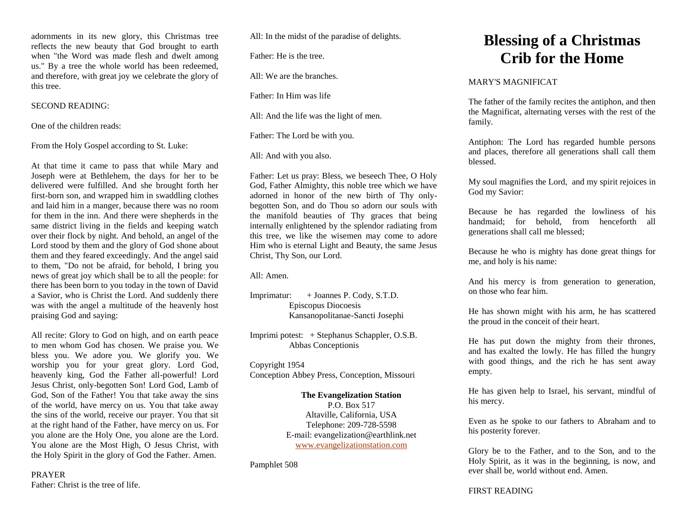adornments in its new glory, this Christmas tree reflects the new beauty that God brought to earth when "the Word was made flesh and dwelt among us." By a tree the whole world has been redeemed, and therefore, with great joy we celebrate the glory of this tree.

#### SECOND READING:

One of the children reads:

From the Holy Gospel according to St. Luke:

At that time it came to pass that while Mary and Joseph were at Bethlehem, the days for her to be delivered were fulfilled. And she brought forth her first-born son, and wrapped him in swaddling clothes and laid him in a manger, because there was no room for them in the inn. And there were shepherds in the same district living in the fields and keeping watch over their flock by night. And behold, an angel of the Lord stood by them and the glory of God shone about them and they feared exceedingly. And the angel said to them, "Do not be afraid, for behold, I bring you news of great joy which shall be to all the people: for there has been born to you today in the town of David a Savior, who is Christ the Lord. And suddenly there was with the angel a multitude of the heavenly host praising God and saying:

All recite: Glory to God on high, and on earth peace to men whom God has chosen. We praise you. We bless you. We adore you. We glorify you. We worship you for your great glory. Lord God, heavenly king, God the Father all-powerful! Lord Jesus Christ, only-begotten Son! Lord God, Lamb of God, Son of the Father! You that take away the sins of the world, have mercy on us. You that take away the sins of the world, receive our prayer. You that sit at the right hand of the Father, have mercy on us. For you alone are the Holy One, you alone are the Lord. You alone are the Most High, O Jesus Christ, with the Holy Spirit in the glory of God the Father. Amen.

PRAYER Father: Christ is the tree of life. All: In the midst of the paradise of delights.

Father: He is the tree.

All: We are the branches.

Father: In Him was life

All: And the life was the light of men.

Father: The Lord be with you.

All: And with you also.

Father: Let us pray: Bless, we beseech Thee, O Holy God, Father Almighty, this noble tree which we have adorned in honor of the new birth of Thy onlybegotten Son, and do Thou so adorn our souls with the manifold beauties of Thy graces that being internally enlightened by the splendor radiating from this tree, we like the wisemen may come to adore Him who is eternal Light and Beauty, the same Jesus Christ, Thy Son, our Lord.

All: Amen.

Imprimatur: + Joannes P. Cody, S.T.D. Episcopus Diocoesis Kansanopolitanae-Sancti Josephi

Imprimi potest: + Stephanus Schappler, O.S.B. Abbas Conceptionis

Copyright 1954

Conception Abbey Press, Conception, Missouri

#### **The Evangelization Station**

P.O. Box 517 Altaville, California, USA Telephone: 209-728-5598 E-mail: evangelization@earthlink.net [www.evangelizationstation.com](http://www.pjpiisoe.org/)

Pamphlet 508

# **Blessing of a Christmas Crib for the Home**

#### MARY'S MAGNIFICAT

The father of the family recites the antiphon, and then the Magnificat, alternating verses with the rest of the family.

Antiphon: The Lord has regarded humble persons and places, therefore all generations shall call them blessed.

My soul magnifies the Lord, and my spirit rejoices in God my Savior:

Because he has regarded the lowliness of his handmaid; for behold, from henceforth all generations shall call me blessed;

Because he who is mighty has done great things for me, and holy is his name:

And his mercy is from generation to generation, on those who fear him.

He has shown might with his arm, he has scattered the proud in the conceit of their heart.

He has put down the mighty from their thrones, and has exalted the lowly. He has filled the hungry with good things, and the rich he has sent away empty.

He has given help to Israel, his servant, mindful of his mercy.

Even as he spoke to our fathers to Abraham and to his posterity forever.

Glory be to the Father, and to the Son, and to the Holy Spirit, as it was in the beginning, is now, and ever shall be, world without end. Amen.

## FIRST READING